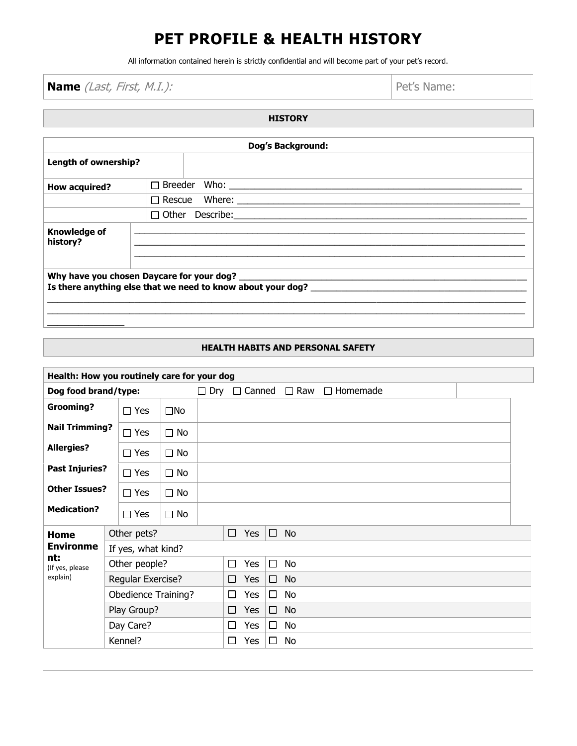## **PET PROFILE & HEALTH HISTORY**

All information contained herein is strictly confidential and will become part of your pet's record.

**Name** (*Last, First, M.I.):* **Pet's Name:** 

 $\overline{\phantom{a}}$ 

| <b>HISTORY</b>                  |                   |                                                                                                                                                                                                                                                 |  |  |  |  |  |
|---------------------------------|-------------------|-------------------------------------------------------------------------------------------------------------------------------------------------------------------------------------------------------------------------------------------------|--|--|--|--|--|
|                                 |                   |                                                                                                                                                                                                                                                 |  |  |  |  |  |
|                                 | Dog's Background: |                                                                                                                                                                                                                                                 |  |  |  |  |  |
| Length of ownership?            |                   |                                                                                                                                                                                                                                                 |  |  |  |  |  |
| How acquired?                   |                   |                                                                                                                                                                                                                                                 |  |  |  |  |  |
|                                 |                   |                                                                                                                                                                                                                                                 |  |  |  |  |  |
|                                 |                   |                                                                                                                                                                                                                                                 |  |  |  |  |  |
| <b>Knowledge of</b><br>history? |                   | <u> 1989 - Johann Harry Harry Harry Harry Harry Harry Harry Harry Harry Harry Harry Harry Harry Harry Harry Harry</u><br><u> 1989 - Johann John Stone, mars and de format de la provincia de la provincia de la provincia de la provincia d</u> |  |  |  |  |  |
|                                 |                   |                                                                                                                                                                                                                                                 |  |  |  |  |  |

## **HEALTH HABITS AND PERSONAL SAFETY**

| Health: How you routinely care for your dog |                            |              |            |        |     |        |                   |                 |
|---------------------------------------------|----------------------------|--------------|------------|--------|-----|--------|-------------------|-----------------|
| Dog food brand/type:                        |                            |              | $\Box$ Dry | $\Box$ |     |        | Canned $\Box$ Raw | $\Box$ Homemade |
| <b>Grooming?</b>                            | $\Box$ Yes                 | $\square$ No |            |        |     |        |                   |                 |
| <b>Nail Trimming?</b>                       | $\Box$ Yes                 | $\Box$ No    |            |        |     |        |                   |                 |
| <b>Allergies?</b>                           | $\Box$ Yes                 | $\Box$ No    |            |        |     |        |                   |                 |
| <b>Past Injuries?</b>                       | $\Box$ Yes                 | $\Box$ No    |            |        |     |        |                   |                 |
| <b>Other Issues?</b>                        | $\Box$ Yes                 | $\Box$ No    |            |        |     |        |                   |                 |
| <b>Medication?</b>                          | $\Box$ Yes                 | $\Box$ No    |            |        |     |        |                   |                 |
| Home                                        | Other pets?                |              |            | $\Box$ | Yes | $\Box$ | <b>No</b>         |                 |
| <b>Environme</b>                            | If yes, what kind?         |              |            |        |     |        |                   |                 |
| nt:<br>(If yes, please                      | Other people?              |              |            | П      | Yes | $\Box$ | <b>No</b>         |                 |
| explain)                                    | Regular Exercise?          |              |            |        | Yes | $\Box$ | No                |                 |
|                                             | <b>Obedience Training?</b> |              |            |        | Yes | □      | <b>No</b>         |                 |
|                                             | Play Group?                |              |            |        | Yes | $\Box$ | <b>No</b>         |                 |
|                                             | Day Care?                  |              |            |        | Yes | □      | No                |                 |
|                                             | Kennel?                    |              |            | $\Box$ | Yes | □      | No                |                 |